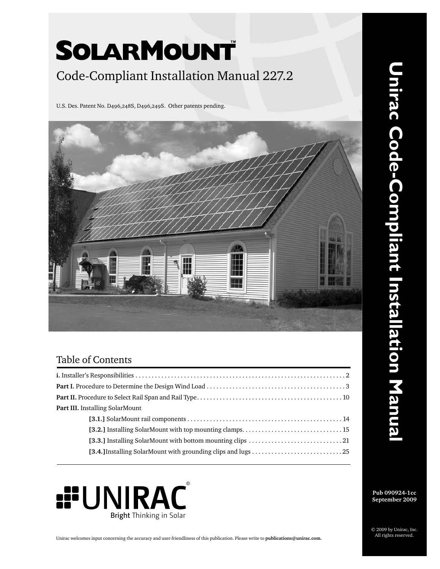# SOLARMOUNT Code-Compliant Installation Manual 227.2

U.S. Des. Patent No. D496,248S, D496,249S. Other patents pending.



### Table of Contents

| Part III. Installing SolarMount |
|---------------------------------|
|                                 |
|                                 |
|                                 |
|                                 |



**Pub 090924-1cc September 2009**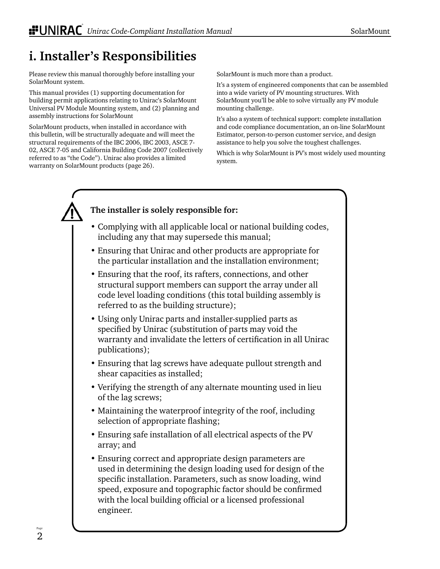## **i. Installer's Responsibilities**

Please review this manual thoroughly before installing your SolarMount system.

This manual provides (1) supporting documentation for building permit applications relating to Unirac's SolarMount Universal PV Module Mounting system, and (2) planning and assembly instructions for SolarMount

SolarMount products, when installed in accordance with this bulletin, will be structurally adequate and will meet the structural requirements of the IBC 2006, IBC 2003, ASCE 7- 02, ASCE 7-05 and California Building Code 2007 (collectively referred to as "the Code"). Unirac also provides a limited warranty on SolarMount products (page 26).

SolarMount is much more than a product.

It's a system of engineered components that can be assembled into a wide variety of PV mounting structures. With SolarMount you'll be able to solve virtually any PV module mounting challenge.

It's also a system of technical support: complete installation and code compliance documentation, an on-line SolarMount Estimator, person-to-person customer service, and design assistance to help you solve the toughest challenges.

Which is why SolarMount is PV's most widely used mounting system.

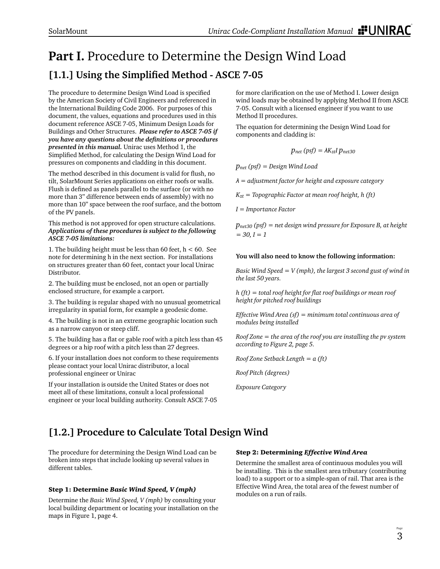## **Part I.** Procedure to Determine the Design Wind Load [1.1.] Using the Simplified Method - ASCE 7-05

The procedure to determine Design Wind Load is specified by the American Society of Civil Engineers and referenced in the International Building Code 2006. For purposes of this document, the values, equations and procedures used in this document reference ASCE 7-05, Minimum Design Loads for Buildings and Other Structures. *Please refer to ASCE 7-05 if you have any questions about the defi nitions or procedures presented in this manual.* Unirac uses Method 1, the Simplified Method, for calculating the Design Wind Load for pressures on components and cladding in this document.

The method described in this document is valid for flush, no tilt, SolarMount Series applications on either roofs or walls. Flush is defined as panels parallel to the surface (or with no more than 3" difference between ends of assembly) with no more than 10" space between the roof surface, and the bottom of the PV panels.

This method is not approved for open structure calculations. *Applications of these procedures is subject to the following ASCE 7-05 limitations:*

1. The building height must be less than 60 feet,  $h < 60$ . See note for determining h in the next section. For installations on structures greater than 60 feet, contact your local Unirac Distributor.

2. The building must be enclosed, not an open or partially enclosed structure, for example a carport.

3. The building is regular shaped with no unusual geometrical irregularity in spatial form, for example a geodesic dome.

4. The building is not in an extreme geographic location such as a narrow canyon or steep cliff.

5. The building has a flat or gable roof with a pitch less than 45 degrees or a hip roof with a pitch less than 27 degrees.

6. If your installation does not conform to these requirements please contact your local Unirac distributor, a local professional engineer or Unirac

If your installation is outside the United States or does not meet all of these limitations, consult a local professional engineer or your local building authority. Consult ASCE 7-05 for more clarification on the use of Method I. Lower design wind loads may be obtained by applying Method II from ASCE 7-05. Consult with a licensed engineer if you want to use Method II procedures.

The equation for determining the Design Wind Load for components and cladding is:

$$
p_{net}\left(psf\right)=\lambda K_{zt}IP_{net30}
$$

*pnet (psf) = Design Wind Load*

*λ = adjustment factor for height and exposure category*

*Kzt = Topographic Factor at mean roof height, h (ft)*

*I = Importance Factor*

*pnet30 (psf) = net design wind pressure for Exposure B, at height = 30, I = 1*

#### **You will also need to know the following information:**

*Basic Wind Speed = V (mph), the largest 3 second gust of wind in the last 50 years.*

*h* (*ft*) = total roof height for flat roof buildings or mean roof *height for pitched roof buildings*

*Effective Wind Area (sf) = minimum total continuous area of modules being installed*

*Roof Zone = the area of the roof you are installing the pv system according to Figure 2, page 5.*

*Roof Zone Setback Length = a (ft)* 

*Roof Pitch (degrees)*

*Exposure Category*

### **[1.2.] Procedure to Calculate Total Design Wind**

The procedure for determining the Design Wind Load can be broken into steps that include looking up several values in different tables.

#### Step 1: Determine *Basic Wind Speed, V (mph)*

Determine the *Basic Wind Speed, V (mph)* by consulting your local building department or locating your installation on the maps in Figure 1, page 4.

#### Step 2: Determining *Effective Wind Area*

Determine the smallest area of continuous modules you will be installing. This is the smallest area tributary (contributing load) to a support or to a simple-span of rail. That area is the Effective Wind Area, the total area of the fewest number of modules on a run of rails.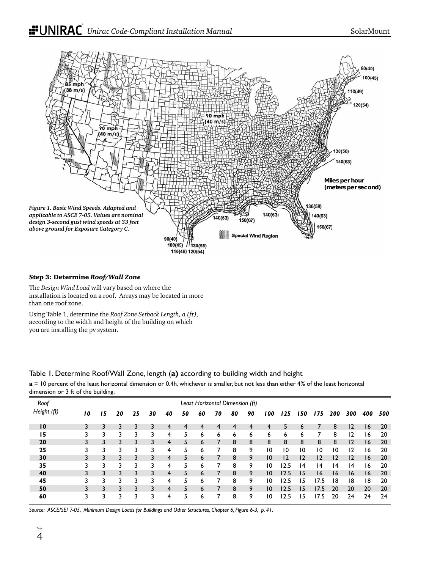

#### Step 3: Determine *Roof/Wall Zone*

The *Design Wind Load* will vary based on where the installation is located on a roof. Arrays may be located in more than one roof zone.

Using Table 1, determine the *Roof Zone Setback Length, a (ft)*, according to the width and height of the building on which you are installing the pv system.

### Table 1. Determine Roof/Wall Zone, length (**a)** according to building width and height

**a** = 10 percent of the least horizontal dimension or 0.4h, whichever is smaller, but not less than either 4% of the least horizontal dimension or 3 ft of the building.

| Roof            |    |    |    |    |    |    |    | Least Horizontal Dimension (ft) |    |    |    |                |                |     |                |     |     |     |     |
|-----------------|----|----|----|----|----|----|----|---------------------------------|----|----|----|----------------|----------------|-----|----------------|-----|-----|-----|-----|
| Height (ft)     | 10 | 15 | 20 | 25 | 30 | 40 | 50 | 60                              | 70 | 80 | 90 | 100            | 125            | 150 | 175            | 200 | 300 | 400 | 500 |
| $\overline{10}$ | 3  |    | 3  | 3  |    | 4  |    |                                 |    | 4  | 4  | 4              | 5              | 6   |                | 8   | 12  | 16  | 20  |
| 15              | 3  |    |    | 3  | 3  | 4  | 5  | 6                               | 6  | 6  | 6  | 6              | 6              | 6   |                | 8   | 12  | 16  | 20  |
| 20              | 3  | 3  | 3  | 3  | 3  | 4  | 5  | 6                               |    | 8  | 8  | 8              | 8              | 8   | 8              | 8   | 12  | 16  | 20  |
| 25              | 3  |    | 3  | 3  | 3  | 4  | 5  | 6                               |    | 8  | 9  | 10             | 10             | 10  | 10             | 10  | 12  | 16  | 20  |
| 30              | 3  | 3  | 3  | 3  | 3  | 4  | 5  | 6                               |    | 8  | 9  | 10             | $\overline{2}$ | 2   | $\overline{2}$ | 12  | 12  | 16  | 20  |
| 35              | 3  | 3  |    | 3  | 3  | 4  | 5  | ь                               | 7  | 8  | 9  | 10             | 12.5           | 4   | 14             | 14  | 14  | ۱6  | 20  |
| 40              | 3  | 3  | 3  | 3  | 3  | 4  | 5  | 6                               |    | 8  | 9  | 10             | 12.5           | 15  | 16             | 16  | 16  | 16  | 20  |
| 45              |    |    |    | 3  | 3  | 4  | 5  | ь                               |    | 8  | 9  | 10             | 12.5           | 15  | 17.5           | 18  | 18  | 18  | 20  |
| 50              |    |    |    | 3  |    | 4  | 5  | 6                               |    | 8  | 9  | $\overline{0}$ | 12.5           | 15  | 17.5           | 20  | 20  | 20  | 20  |
| 60              | 3  | 3  |    | 3  | 3  | 4  |    | 6                               |    | 8  | 9  | 10             | 12.5           | 15  | 7.5            | 20  | 24  | 24  | 24  |

*Source: ASCE/SEI 7-05, Minimum Design Loads for Buildings and Other Structures, Chapter 6, Figure 6-3, p. 41.*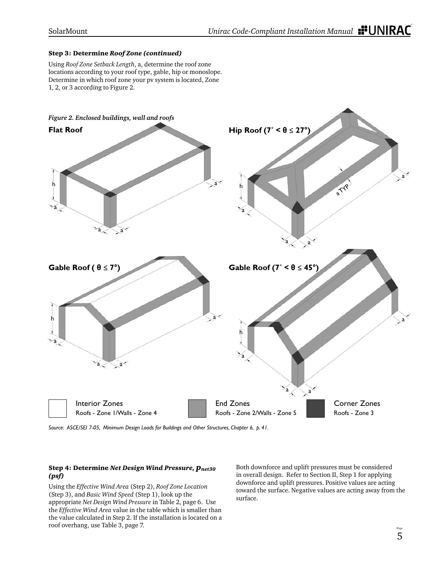#### Step 3: Determine *Roof Zone (continued)*

Using *Roof Zone Setback Length*, a, determine the roof zone locations according to your roof type, gable, hip or monoslope. Determine in which roof zone your pv system is located, Zone 1, 2, or 3 according to Figure 2.



*Source: ASCE/SEI 7-05, Minimum Design Loads for Buildings and Other Structures, Chapter 6, p. 41.* 

#### Step 4: Determine *Net Design Wind Pressure, pnet30 (psf)*

Using the *Effective Wind Area* (Step 2), *Roof Zone Location* (Step 3), and *Basic Wind Speed* (Step 1), look up the appropriate *Net Design Wind Pressure* in Table 2, page 6. Use the *Effective Wind Area* value in the table which is smaller than the value calculated in Step 2. If the installation is located on a roof overhang, use Table 3, page 7.

Both downforce and uplift pressures must be considered in overall design. Refer to Section II, Step 1 for applying downforce and uplift pressures. Positive values are acting toward the surface. Negative values are acting away from the surface.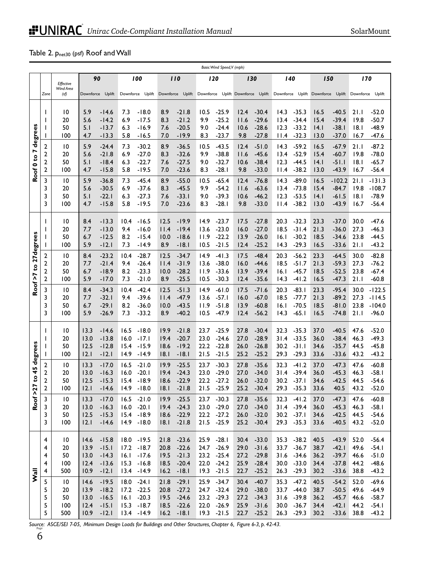### Table 2. Pnet30 (psf) Roof and Wall

|                                           | Basic Wind Speed, V (mph)                         |                                                       |                                                                                             |                                                                                                                  |                                                                                             |                                                                                           |                                                                                             |                                                                                             |                                                                                                                        |                                                                                             |
|-------------------------------------------|---------------------------------------------------|-------------------------------------------------------|---------------------------------------------------------------------------------------------|------------------------------------------------------------------------------------------------------------------|---------------------------------------------------------------------------------------------|-------------------------------------------------------------------------------------------|---------------------------------------------------------------------------------------------|---------------------------------------------------------------------------------------------|------------------------------------------------------------------------------------------------------------------------|---------------------------------------------------------------------------------------------|
|                                           |                                                   | Effective                                             | 90                                                                                          | 100                                                                                                              | 110                                                                                         | 120                                                                                       | 130                                                                                         | 140                                                                                         | 150                                                                                                                    | 170                                                                                         |
|                                           | Zone                                              | Wind Area<br>(sf)                                     | Uplift<br>Downforce                                                                         |                                                                                                                  |                                                                                             |                                                                                           |                                                                                             |                                                                                             | Downforce Uplift Downforce Uplift Downforce Uplift Downforce Uplift Downforce Uplift Downforce Uplift Downforce Uplift |                                                                                             |
| degrees                                   | $\mathbf{I}$<br>I<br>$\mathbf{I}$<br>2            | $\overline{10}$<br>20<br>50<br>100<br>$\overline{10}$ | 5.9<br>$-14.6$<br>5.6<br>$-14.2$<br>5.1<br>$-13.7$<br>$-13.3$<br>4.7<br>5.9<br>$-24.4$      | 7.3<br>$-18.0$<br>6.9<br>$-17.5$<br>6.3<br>$-16.9$<br>5.8<br>$-16.5$<br>$-30.2$<br>7.3                           | 8.9<br>$-21.8$<br>$-21.2$<br>8.3<br>$-20.5$<br>7.6<br>7.0<br>$-19.9$<br>8.9<br>$-36.5$      | $-25.9$<br>10.5<br>9.9<br>$-25.2$<br>$-24.4$<br>9.0<br>$-23.7$<br>8.3<br>$-43.5$<br>10.5  | 12.4<br>$-30.4$<br>$-29.6$<br>11.6<br>$-28.6$<br>10.6<br>9.8<br>$-27.8$<br>$-51.0$<br>12.4  | $-35.3$<br>14.3<br>$-34.4$<br>13.4<br>12.3<br>$-33.2$<br>11.4<br>$-32.3$<br>14.3<br>$-59.2$ | 16.5<br>$-40.5$<br>15.4<br>$-39.4$<br>$-38.1$<br> 4.1<br>$-37.0$<br>13.0<br>16.5<br>$-67.9$                            | 21.1<br>$-52.0$<br>$-50.7$<br>19.8<br> 8.1<br>$-48.9$<br>16.7<br>$-47.6$<br>$-87.2$<br>21.1 |
| $\frac{1}{2}$<br>Roof <sup>0</sup>        | 2<br>2<br>2<br>3                                  | 20<br>50<br>100<br>$\overline{10}$                    | $-21.8$<br>5.6<br>5.1<br>$-18.4$<br>$-15.8$<br>4.7<br>5.9<br>$-36.8$                        | 6.9<br>$-27.0$<br>$-22.7$<br>6.3<br>5.8<br>$-19.5$<br>7.3<br>$-45.4$                                             | $-32.6$<br>8.3<br>$-27.5$<br>7.6<br>$-23.6$<br>7.0<br>8.9<br>$-55.0$                        | 9.9<br>$-38.8$<br>9.0<br>$-32.7$<br>$-28.1$<br>8.3<br>$-65.4$<br>10.5                     | $-45.6$<br>11.6<br>10.6<br>$-38.4$<br>9.8<br>$-33.0$<br>$-76.8$<br>12.4                     | $-52.9$<br>13.4<br>12.3<br>$-44.5$<br>$-38.2$<br>11.4<br>14.3<br>$-89.0$                    | 15.4<br>$-60.7$<br> 4.1<br>$-51.1$<br>$-43.9$<br>13.0<br>16.5<br>$-102.2$                                              | $-78.0$<br>19.8<br> 8.1<br>$-65.7$<br>16.7<br>$-56.4$<br>21.1<br>$-131.3$                   |
|                                           | 3<br>3<br>3                                       | 20<br>50<br>100                                       | $-30.5$<br>5.6<br>5.1<br>$-22.1$<br>$-15.8$<br>4.7                                          | 6.9<br>$-37.6$<br>6.3<br>$-27.3$<br>$-19.5$<br>5.8                                                               | $-45.5$<br>8.3<br>7.6<br>$-33.1$<br>7.0<br>$-23.6$                                          | 9.9<br>$-54.2$<br>$-39.3$<br>9.0<br>$-28.1$<br>8.3                                        | $-63.6$<br>11.6<br>10.6<br>$-46.2$<br>9.8<br>$-33.0$                                        | $-73.8$<br>13.4<br>$-53.5$<br>12.3<br>$-38.2$<br>11.4                                       | 15.4<br>$-84.7$<br>$-61.5$<br> 4.1<br>13.0<br>$-43.9$                                                                  | 19.8<br>$-108.7$<br> 8.1<br>$-78.9$<br>16.7<br>$-56.4$                                      |
|                                           | $\mathbf{I}$<br>I<br>$\mathbf{I}$                 | 10<br>20<br>50<br>100                                 | 8.4<br>$-13.3$<br>$-13.0$<br>7.7<br>6.7<br>$-12.5$<br>5.9<br>$-12.1$                        | $-16.5$<br>10.4<br>9.4<br>$-16.0$<br>8.2<br>$-15.4$<br>7.3<br>$-14.9$                                            | $-19.9$<br>12.5<br>$-19.4$<br>l I.4<br>10.0<br>$-18.6$<br>8.9<br>$-18.1$                    | 14.9<br>$-23.7$<br>$-23.0$<br>13.6<br>$-22.2$<br>11.9<br>$-21.5$<br>10.5                  | $-27.8$<br>17.5<br>16.0<br>$-27.0$<br>13.9<br>$-26.0$<br>12.4<br>$-25.2$                    | $-32.3$<br>20.3<br>18.5<br>$-31.4$<br>16.1<br>$-30.2$<br>14.3<br>$-29.3$                    | $-37.0$<br>23.3<br>21.3<br>$-36.0$<br>18.5<br>$-34.6$<br>16.5<br>$-33.6$                                               | $-47.6$<br>30.0<br>27.3<br>$-46.3$<br>23.8<br>$-44.5$<br>21.1<br>$-43.2$                    |
| to 27 degrees<br>Roof>7                   | 2<br>2<br>$\overline{\mathbf{c}}$<br>$\mathbf{2}$ | $\overline{10}$<br>20<br>50<br>100                    | 8.4<br>$-23.2$<br>7.7<br>$-21.4$<br>6.7<br>$-18.9$<br>5.9<br>$-17.0$                        | 10.4<br>$-28.7$<br>$-26.4$<br>9.4<br>$-23.3$<br>8.2<br>7.3<br>$-21.0$                                            | 12.5<br>$-34.7$<br>$-31.9$<br>11.4<br>$-28.2$<br>10.0<br>8.9<br>$-25.5$                     | 14.9<br>$-41.3$<br>13.6<br>$-38.0$<br>11.9<br>$-33.6$<br>10.5<br>$-30.3$                  | 17.5<br>$-48.4$<br>16.0<br>$-44.6$<br>13.9<br>$-39.4$<br>$-35.6$<br>12.4                    | 20.3<br>$-56.2$<br>18.5<br>$-51.7$<br>$-45.7$<br>16.1<br>14.3<br>$-41.2$                    | 23.3<br>$-64.5$<br>21.3<br>$-59.3$<br>18.5<br>$-52.5$<br>16.5<br>$-47.3$                                               | 30.0<br>$-82.8$<br>27.3<br>$-76.2$<br>23.8<br>$-67.4$<br>21.1<br>$-60.8$                    |
|                                           | 3<br>3<br>3<br>3                                  | $\overline{10}$<br>20<br>50<br>100                    | 8.4<br>$-34.3$<br>$-32.1$<br>7.7<br>6.7<br>$-29.1$<br>5.9<br>$-26.9$                        | 10.4<br>$-42.4$<br>$-39.6$<br>9.4<br>8.2<br>$-36.0$<br>7.3<br>$-33.2$                                            | 12.5<br>$-51.3$<br>$-47.9$<br>11.4<br>10.0<br>$-43.5$<br>$-40.2$<br>8.9                     | 14.9<br>$-61.0$<br>$-57.1$<br>13.6<br>$-51.8$<br>11.9<br>10.5<br>$-47.9$                  | $-71.6$<br>17.5<br>16.0<br>$-67.0$<br>13.9<br>$-60.8$<br>$-56.2$<br>12.4                    | 20.3<br>$-83.1$<br>18.5<br>$-77.7$<br>$-70.5$<br>16.1<br>14.3<br>$-65.1$                    | 23.3<br>$-95.4$<br>21.3<br>$-89.2$<br>18.5<br>$-81.0$<br>$-74.8$<br>16.5                                               | 30.0<br>$-122.5$<br>$-114.5$<br>27.3<br>23.8<br>$-104.0$<br>21.1<br>$-96.0$                 |
| degrees                                   | $\mathbf{I}$<br>ı<br>$\mathbf{I}$                 | 10<br>20<br>50<br>100                                 | 13.3<br>$-14.6$<br>13.0<br>$-13.8$<br>12.5<br>$-12.8$<br>$-12.1$<br>12.1                    | 16.5<br>$-18.0$<br>16.0<br>$-17.1$<br>$-15.9$<br>15.4<br>14.9<br>$-14.9$                                         | 19.9<br>$-21.8$<br>19.4<br>$-20.7$<br>$-19.2$<br>18.6<br>$-18.1$<br>18.1                    | 23.7<br>$-25.9$<br>23.0<br>$-24.6$<br>22.2<br>$-22.8$<br>$-21.5$<br>21.5                  | 27.8<br>$-30.4$<br>27.0<br>$-28.9$<br>26.0<br>$-26.8$<br>25.2<br>$-25.2$                    | 32.3<br>$-35.3$<br>$-33.5$<br>31.4<br>$-31.1$<br>30.2<br>29.3<br>$-29.3$                    | 37.0<br>$-40.5$<br>36.0<br>$-38.4$<br>$-35.7$<br>34.6<br>33.6<br>$-33.6$                                               | 47.6<br>$-52.0$<br>46.3<br>$-49.3$<br>44.5<br>$-45.8$<br>$-43.2$<br>43.2                    |
| 45<br>S<br>$\overline{\phantom{a}}$<br>Σ, | $\mathbf{2}$<br>2<br>$\overline{\mathbf{c}}$<br>2 | $\overline{10}$<br>20<br>50<br>100                    | $-17.0$<br>13.3<br>13.0<br>$-16.3$<br>12.5<br>$-15.3$<br>12.1<br>$-14.6$                    | $-21.0$<br>16.5<br>$-20.1$<br>16.0<br>$-18.9$<br>15.4<br>14.9<br>-18.0                                           | $-25.5$<br>19.9<br>$-24.3$<br>19.4<br>$-22.9$<br>18.6<br>18.I<br>$-21.8$                    | 23.7<br>$-30.3$<br>$-29.0$<br>23.0<br>$-27.2$<br>22.2<br>21.5<br>-25.9                    | 27.8<br>$-35.6$<br>$-34.0$<br>27.0<br>26.0<br>$-32.0$<br>25.2<br>$-30.4$                    | 32.3<br>$-41.2$<br>31.4<br>$-39.4$<br>30.2<br>-37.1<br>29.3<br>$-35.3$                      | 37.0<br>$-47.3$<br>36.0<br>$-45.3$<br>34.6<br>$-42.5$<br>33.6<br>40.5                                                  | 47.6<br>$-60.8$<br>46.3<br>$-58.1$<br>44.5<br>$-54.6$<br>43.2<br>$-52.0$                    |
| Roof                                      | 3<br>3<br>3<br>3                                  | 10<br>20<br>50<br>100                                 | $-17.0$<br>13.3<br>13.0<br>$-16.3$<br>12.5<br>$-15.3$<br>$-14.6$<br> 2.1                    | $-21.0$<br>16.5<br>16.0<br>$-20.1$<br>$-18.9$<br>15.4<br>$14.9 - 18.0$                                           | $-25.5$<br>19.9<br>19.4<br>$-24.3$<br>$-22.9$<br>18.6<br> 8.1<br>$-21.8$                    | 23.7<br>$-30.3$<br>23.0<br>$-29.0$<br>22.2<br>$-27.2$<br>21.5<br>$-25.9$                  | 27.8<br>$-35.6$<br>27.0<br>$-34.0$<br>26.0<br>$-32.0$<br>$-30.4$<br>25.2                    | 32.3<br>$-41.2$<br>31.4 - 39.4<br>30.2<br>$-37.1$<br>29.3<br>$-35.3$                        | 37.0<br>-47.3<br>$-45.3$<br>36.0<br>$-42.5$<br>34.6<br>33.6<br>$-40.5$                                                 | 47.6<br>-60.8<br>$-58.1$<br>46.3<br>44.5<br>$-54.6$<br>43.2<br>$-52.0$                      |
| <b>Wall</b>                               | 4<br>4<br>4<br>4<br>4                             | $\overline{10}$<br>20<br>50<br>100<br>500             | 14.6<br>$-15.8$<br>$-15.1$<br>13.9<br>13.0<br>$-14.3$<br>12.4<br>$-13.6$<br>10.9<br>$-12.1$ | 18.0 - 19.5<br>17.2<br>$-18.7$<br>16.1<br>$-17.6$<br>15.3<br>$-16.8$<br>$13.4 - 14.9$                            | 21.8<br>$-23.6$<br>20.8<br>$-22.6$<br>$-21.3$<br>19.5<br>18.5<br>$-20.4$<br>16.2<br>$-18.1$ | 25.9<br>$-28.1$<br>24.7 - 26.9<br>23.2<br>$-25.4$<br>22.0<br>$-24.2$<br>19.3<br>$-21.5$   | 30.4<br>$-33.0$<br>29.0<br>$-31.6$<br>$-29.8$<br>27.2<br>25.9<br>$-28.4$<br>22.7<br>$-25.2$ | 35.3<br>$-38.2$<br>33.7<br>$-36.7$<br>31.6<br>$-34.6$<br>$-33.0$<br>30.0<br>26.3<br>$-29.3$ | 40.5<br>$-43.9$<br>$-42.1$<br>38.7<br>36.2<br>$-39.7$<br>$-37.8$<br>34.4<br>$-33.6$<br>30.2                            | $-56.4$<br>52.0<br>49.6<br>$-54.1$<br>$-51.0$<br>46.6<br>44.2<br>$-48.6$<br>38.8<br>$-43.2$ |
|                                           | 5<br>5<br>5<br>5<br>5                             | $\overline{10}$<br>20<br>50<br>100<br>500             | $-19.5$<br>14.6<br>$-18.2$<br>13.9<br>$-16.5$<br>13.0<br>$-15.1$<br>12.4<br>10.9<br>$-12.1$ | 18.0<br>$-24.1$<br>17.2<br>$-22.5$<br>16.1<br>$-20.3$<br>15.3<br>$-18.7$<br>$13.4 - 14.9$                        | 21.8<br>$-29.1$<br>20.8<br>$-27.2$<br>$-24.6$<br>19.5<br>18.5<br>$-22.6$<br>16.2<br>$-18.1$ | 25.9<br>$-34.7$<br>24.7<br>$-32.4$<br>23.2<br>$-29.3$<br>22.0<br>$-26.9$<br>$19.3 - 21.5$ | $-40.7$<br>30.4<br>29.0<br>$-38.0$<br>27.2<br>$-34.3$<br>25.9<br>$-31.6$<br>22.7<br>$-25.2$ | 35.3<br>$-47.2$<br>33.7<br>$-44.0$<br>31.6<br>$-39.8$<br>$-36.7$<br>30.0<br>26.3<br>$-29.3$ | 40.5<br>$-54.2$<br>$-50.5$<br>38.7<br>36.2<br>$-45.7$<br>$-42.1$<br>34.4<br>$-33.6$<br>30.2                            | 52.0<br>$-69.6$<br>49.6<br>$-64.9$<br>46.6<br>$-58.7$<br>44.2<br>-54. I<br>38.8<br>$-43.2$  |
|                                           |                                                   |                                                       |                                                                                             | Source: ASCE/SEI 7-05, Minimum Design Loads for Buildings and Other Structures, Chapter 6, Figure 6-3, p. 42-43. |                                                                                             |                                                                                           |                                                                                             |                                                                                             |                                                                                                                        |                                                                                             |

6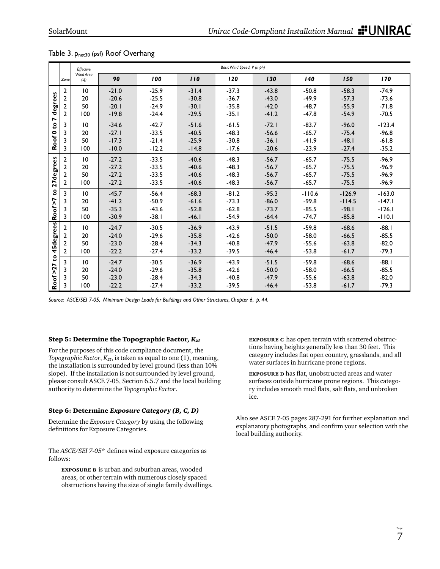|           |                                                                                                   | Effective         | Basic Wind Speed, V (mph) |         |         |         |         |          |          |          |  |  |  |
|-----------|---------------------------------------------------------------------------------------------------|-------------------|---------------------------|---------|---------|---------|---------|----------|----------|----------|--|--|--|
|           | Zone                                                                                              | Wind Area<br>(sf) | 90                        | 100     | 110     | 120     | 130     | 140      | 150      | 170      |  |  |  |
|           | $\overline{2}$                                                                                    | $\overline{10}$   | $-21.0$                   | $-25.9$ | $-31.4$ | $-37.3$ | $-43.8$ | $-50.8$  | $-58.3$  | $-74.9$  |  |  |  |
| degrees   | $\overline{2}$                                                                                    | 20                | $-20.6$                   | $-25.5$ | $-30.8$ | $-36.7$ | $-43.0$ | $-49.9$  | $-57.3$  | $-73.6$  |  |  |  |
|           | $\overline{2}$                                                                                    | 50                | $-20.1$                   | $-24.9$ | $-30.1$ | $-35.8$ | $-42.0$ | $-48.7$  | $-55.9$  | $-71.8$  |  |  |  |
| N         | $\overline{2}$                                                                                    | 100               | $-19.8$                   | $-24.4$ | $-29.5$ | $-35.1$ | $-41.2$ | $-47.8$  | $-54.9$  | $-70.5$  |  |  |  |
|           | 3                                                                                                 | 10                | $-34.6$                   | $-42.7$ | $-51.6$ | $-61.5$ | $-72.1$ | $-83.7$  | $-96.0$  | $-123.4$ |  |  |  |
|           | 3                                                                                                 | 20                | $-27.1$                   | $-33.5$ | $-40.5$ | $-48.3$ | $-56.6$ | $-65.7$  | $-75.4$  | $-96.8$  |  |  |  |
| Roof 0 to | 3                                                                                                 | 50                | $-17.3$                   | $-21.4$ | $-25.9$ | $-30.8$ | $-36.1$ | $-41.9$  | $-48.1$  | $-61.8$  |  |  |  |
|           | 3                                                                                                 | 100               | $-10.0$                   | $-12.2$ | $-14.8$ | $-17.6$ | $-20.6$ | $-23.9$  | $-27.4$  | $-35.2$  |  |  |  |
|           | $\overline{2}$                                                                                    | $\overline{10}$   | $-27.2$                   | $-33.5$ | $-40.6$ | $-48.3$ | $-56.7$ | $-65.7$  | $-75.5$  | $-96.9$  |  |  |  |
|           | 2                                                                                                 | 20                | $-27.2$                   | $-33.5$ | $-40.6$ | $-48.3$ | $-56.7$ | $-65.7$  | $-75.5$  | $-96.9$  |  |  |  |
|           | $\overline{2}$                                                                                    | 50                | $-27.2$                   | $-33.5$ | $-40.6$ | $-48.3$ | $-56.7$ | $-65.7$  | $-75.5$  | $-96.9$  |  |  |  |
| 27degrees | 2                                                                                                 | 100               | $-27.2$                   | $-33.5$ | $-40.6$ | $-48.3$ | $-56.7$ | $-65.7$  | $-75.5$  | $-96.9$  |  |  |  |
| g         | 3                                                                                                 | 10                | $-45.7$                   | $-56.4$ | $-68.3$ | $-81.2$ | $-95.3$ | $-110.6$ | $-126.9$ | $-163.0$ |  |  |  |
| Roof >7   | 3                                                                                                 | 20                | $-41.2$                   | $-50.9$ | $-61.6$ | $-73.3$ | $-86.0$ | $-99.8$  | $-114.5$ | $-147.1$ |  |  |  |
|           | 3                                                                                                 | 50                | $-35.3$                   | $-43.6$ | $-52.8$ | $-62.8$ | $-73.7$ | $-85.5$  | $-98.1$  | $-126.1$ |  |  |  |
|           | 3                                                                                                 | 100               | $-30.9$                   | $-38.1$ | $-46.1$ | $-54.9$ | $-64.4$ | $-74.7$  | $-85.8$  | $-110.1$ |  |  |  |
| 45degrees | $\overline{2}$                                                                                    | 10                | $-24.7$                   | $-30.5$ | $-36.9$ | $-43.9$ | $-51.5$ | $-59.8$  | $-68.6$  | $-88.1$  |  |  |  |
|           | 2                                                                                                 | 20                | $-24.0$                   | $-29.6$ | $-35.8$ | $-42.6$ | $-50.0$ | $-58.0$  | $-66.5$  | $-85.5$  |  |  |  |
|           | $\overline{2}$                                                                                    | 50                | $-23.0$                   | $-28.4$ | $-34.3$ | $-40.8$ | $-47.9$ | $-55.6$  | $-63.8$  | $-82.0$  |  |  |  |
|           | $\overline{2}$                                                                                    | 100               | $-22.2$                   | $-27.4$ | $-33.2$ | $-39.5$ | $-46.4$ | $-53.8$  | $-61.7$  | $-79.3$  |  |  |  |
| S         | 3                                                                                                 | 10                | $-24.7$                   | $-30.5$ | $-36.9$ | $-43.9$ | $-51.5$ | $-59.8$  | $-68.6$  | $-88.1$  |  |  |  |
|           | 3                                                                                                 | 20                | $-24.0$                   | $-29.6$ | $-35.8$ | $-42.6$ | $-50.0$ | $-58.0$  | $-66.5$  | $-85.5$  |  |  |  |
|           | 3                                                                                                 | 50                | $-23.0$                   | $-28.4$ | $-34.3$ | $-40.8$ | $-47.9$ | $-55.6$  | $-63.8$  | $-82.0$  |  |  |  |
| Roof >27  | 3                                                                                                 | 100               | $-22.2$                   | $-27.4$ | $-33.2$ | $-39.5$ | $-46.4$ | $-53.8$  | $-61.7$  | $-79.3$  |  |  |  |
|           | Source: ASCE/SEI 7-05, Minimum Design Loads for Buildings and Other Structures, Chapter 6, p. 44. |                   |                           |         |         |         |         |          |          |          |  |  |  |

#### Table 3. Pnet30 (psf) Roof Overhang

#### Step 5: Determine the Topographic Factor, *Kzt*

For the purposes of this code compliance document, the *Topographic Factor,*  $K_{zt}$ , is taken as equal to one  $(1)$ , meaning, the installation is surrounded by level ground (less than 10% slope). If the installation is not surrounded by level ground, please consult ASCE 7-05, Section 6.5.7 and the local building authority to determine the *Topographic Factor*.

#### Step 6: Determine *Exposure Category (B, C, D)*

Determine the *Exposure Category* by using the following definitions for Exposure Categories.

The *ASCE/SEI 7-05*<sup>\*</sup> defines wind exposure categories as follows:

 **exposure b** is urban and suburban areas, wooded areas, or other terrain with numerous closely spaced obstructions having the size of single family dwellings.  **exposure c** has open terrain with scattered obstructions having heights generally less than 30 feet. This category includes flat open country, grasslands, and all water surfaces in hurricane prone regions.

**EXPOSURE D** has flat, unobstructed areas and water surfaces outside hurricane prone regions. This category includes smooth mud flats, salt flats, and unbroken ice.

Also see ASCE 7-05 pages 287-291 for further explanation and explanatory photographs, and confirm your selection with the local building authority.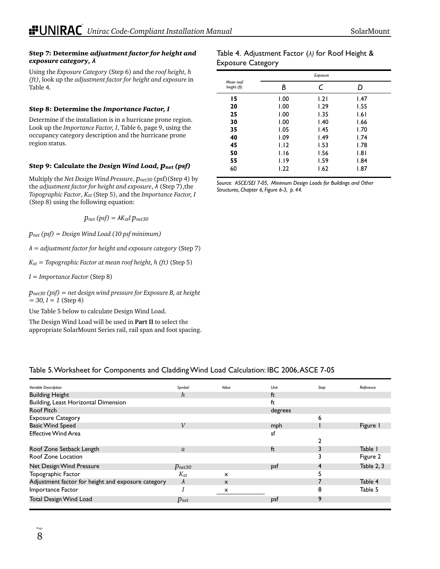#### Step 7: Determine *adjustment factor for height and exposure category*, *λ*

Using the *Exposure Category* (Step 6) and the *roof height, h (ft)*, look up the *adjustment factor for height and exposure* in Table 4.

#### Step 8: Determine the *Importance Factor, I*

Determine if the installation is in a hurricane prone region. Look up the *Importance Factor, I*, Table 6, page 9, using the occupancy category description and the hurricane prone region status.

### Step 9: Calculate the *Design Wind Load, pnet (psf)*

Multiply the *Net Design Wind Pressure*, *pnet30* (psf)(Step 4) by the *adjustment factor for height and exposure*, *λ* (Step 7),the *Topographic Factor*, *Kzt* (Step 5), and the *Importance Factor, I*  (Step 8) using the following equation:

 $p_{net}$  (psf) =  $\lambda K_{zt}$ *I*  $p_{net30}$ 

*pnet (psf) = Design Wind Load (10 psf minimum)*

*λ = adjustment factor for height and exposure category* (Step 7)

*Kzt = Topographic Factor at mean roof height, h (ft)* (Step 5)

*I = Importance Factor* (Step 8)

*pnet30 (psf) = net design wind pressure for Exposure B, at height = 30, I = 1* (Step 4)

Use Table 5 below to calculate Design Wind Load.

The Design Wind Load will be used in **Part II** to select the appropriate SolarMount Series rail, rail span and foot spacing.

#### Table 4. Adjustment Factor (*λ)* for Roof Height & Exposure Category

|                          | Exposure |      |      |  |  |  |  |  |  |
|--------------------------|----------|------|------|--|--|--|--|--|--|
| Mean roof<br>height (ft) | В        | C    | D    |  |  |  |  |  |  |
| 15                       | 1.00     | 1.21 | 1.47 |  |  |  |  |  |  |
| 20                       | 1.00     | 1.29 | 1.55 |  |  |  |  |  |  |
| 25                       | 1.00     | 1.35 | 1.61 |  |  |  |  |  |  |
| 30                       | 1.00     | 1.40 | 1.66 |  |  |  |  |  |  |
| 35                       | 1.05     | 1.45 | 1.70 |  |  |  |  |  |  |
| 40                       | 1.09     | 1.49 | 1.74 |  |  |  |  |  |  |
| 45                       | 1.12     | 1.53 | 1.78 |  |  |  |  |  |  |
| 50                       | 1.16     | 1.56 | 1.81 |  |  |  |  |  |  |
| 55                       | 1.19     | 1.59 | 1.84 |  |  |  |  |  |  |
| 60                       | 1.22     | 1.62 | 1.87 |  |  |  |  |  |  |

*Source: ASCE/SEI 7-05, Minimum Design Loads for Buildings and Other Structures, Chapter 6, Figure 6-3, p. 44.* 

### Table 5. Worksheet for Components and Cladding Wind Load Calculation: IBC 2006, ASCE 7-05

| Variable Description                               | Symbol           | Value                     | Unit    | Step | Reference  |
|----------------------------------------------------|------------------|---------------------------|---------|------|------------|
| <b>Building Height</b>                             | h                |                           | ft      |      |            |
| Building, Least Horizontal Dimension               |                  |                           | ft      |      |            |
| Roof Pitch                                         |                  |                           | degrees |      |            |
| <b>Exposure Category</b>                           |                  |                           |         | 6    |            |
| <b>Basic Wind Speed</b>                            | $\boldsymbol{V}$ |                           | mph     |      | Figure 1   |
| <b>Effective Wind Area</b>                         |                  |                           | sf      |      |            |
|                                                    |                  |                           |         |      |            |
| Roof Zone Setback Length                           | a                |                           | ft      |      | Table 1    |
| Roof Zone Location                                 |                  |                           |         |      | Figure 2   |
| Net Design Wind Pressure                           | $p_{net30}$      |                           | psf     | 4    | Table 2, 3 |
| Topographic Factor                                 | $K_{zt}$         | $\boldsymbol{\mathsf{x}}$ |         |      |            |
| Adjustment factor for height and exposure category | $\lambda$        | $\boldsymbol{\mathsf{x}}$ |         |      | Table 4    |
| Importance Factor                                  |                  | x                         |         | 8    | Table 5    |
| Total Design Wind Load                             | $p_{net}$        |                           | psf     | 9    |            |
|                                                    |                  |                           |         |      |            |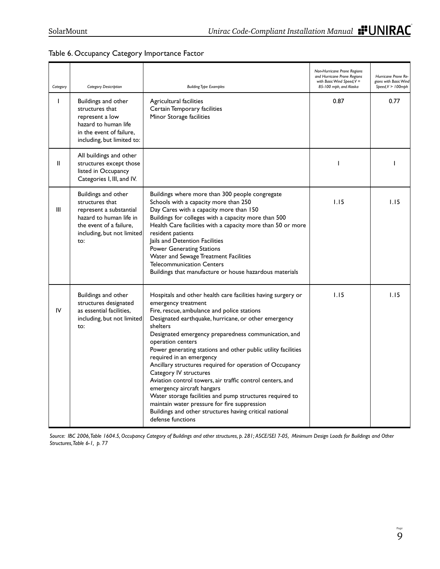### Table 6. Occupancy Category Importance Factor

| Category | <b>Category Desicription</b>                                                                                                                                 | <b>Building Type Examples</b>                                                                                                                                                                                                                                                                                                                                                                                                                                                                                                                                                                                                                                                                                                                                 | Non-Hurricane Prone Regions<br>and Hurricane Prone Regions<br>with Basic Wind Speed, $V =$<br>85-100 mph, and Alaska | Hurricane Prone Re-<br>gions with Basic Wind<br>$Speed, V > 100$ mph |
|----------|--------------------------------------------------------------------------------------------------------------------------------------------------------------|---------------------------------------------------------------------------------------------------------------------------------------------------------------------------------------------------------------------------------------------------------------------------------------------------------------------------------------------------------------------------------------------------------------------------------------------------------------------------------------------------------------------------------------------------------------------------------------------------------------------------------------------------------------------------------------------------------------------------------------------------------------|----------------------------------------------------------------------------------------------------------------------|----------------------------------------------------------------------|
| ı        | Buildings and other<br>structures that<br>represent a low<br>hazard to human life<br>in the event of failure.<br>including, but limited to:                  | Agricultural facilities<br>Certain Temporary facilities<br>Minor Storage facilities                                                                                                                                                                                                                                                                                                                                                                                                                                                                                                                                                                                                                                                                           | 0.87                                                                                                                 | 0.77                                                                 |
| Ш        | All buildings and other<br>structures except those<br>listed in Occupancy<br>Categories I, III, and IV.                                                      |                                                                                                                                                                                                                                                                                                                                                                                                                                                                                                                                                                                                                                                                                                                                                               | ı                                                                                                                    |                                                                      |
| Ш        | Buildings and other<br>structures that<br>represent a substantial<br>hazard to human life in<br>the event of a failure.<br>including, but not limited<br>to: | Buildings where more than 300 people congregate<br>Schools with a capacity more than 250<br>Day Cares with a capacity more than 150<br>Buildings for colleges with a capacity more than 500<br>Health Care facilities with a capacity more than 50 or more<br>resident patients<br>Jails and Detention Facilities<br><b>Power Generating Stations</b><br>Water and Sewage Treatment Facilities<br><b>Telecommunication Centers</b><br>Buildings that manufacture or house hazardous materials                                                                                                                                                                                                                                                                 | 1.15                                                                                                                 | 1.15                                                                 |
| IV       | Buildings and other<br>structures designated<br>as essential facilities,<br>including, but not limited<br>to:                                                | Hospitals and other health care facilities having surgery or<br>emergency treatment<br>Fire, rescue, ambulance and police stations<br>Designated earthquake, hurricane, or other emergency<br>shelters<br>Designated emergency preparedness communication, and<br>operation centers<br>Power generating stations and other public utility facilities<br>required in an emergency<br>Ancillary structures required for operation of Occupancy<br>Category IV structures<br>Aviation control towers, air traffic control centers, and<br>emergency aircraft hangars<br>Water storage facilities and pump structures required to<br>maintain water pressure for fire suppression<br>Buildings and other structures having critical national<br>defense functions | 1.15                                                                                                                 | 1.15                                                                 |

*Source: IBC 2006, Table 1604.5, Occupancy Category of Buildings and other structures, p. 281; ASCE/SEI 7-05, Minimum Design Loads for Buildings and Other Structures, Table 6-1, p. 77*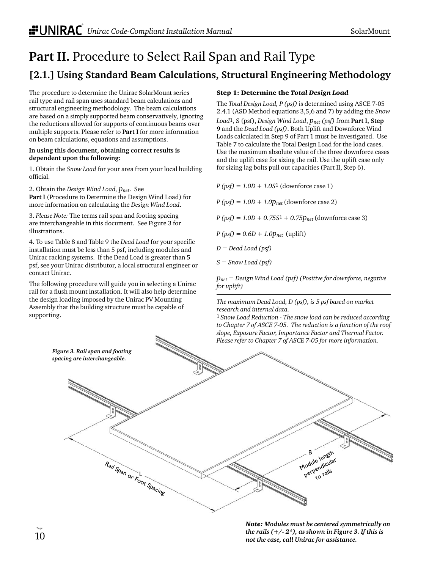## **Part II.** Procedure to Select Rail Span and Rail Type **[2.1.] Using Standard Beam Calculations, Structural Engineering Methodology**

The procedure to determine the Unirac SolarMount series rail type and rail span uses standard beam calculations and structural engineering methodology. The beam calculations are based on a simply supported beam conservatively, ignoring the reductions allowed for supports of continuous beams over multiple supports. Please refer to **Part I** for more information on beam calculations, equations and assumptions.

#### **In using this document, obtaining correct results is dependent upon the following:**

1. Obtain the *Snow Load* for your area from your local building official.

2. Obtain the *Design Wind Load, pnet*. See **Part I** (Procedure to Determine the Design Wind Load) for more information on calculating the *Design Wind Load*.

3. *Please Note:* The terms rail span and footing spacing are interchangeable in this document. See Figure 3 for illustrations.

4. To use Table 8 and Table 9 the *Dead Load* for your specific installation must be less than 5 psf, including modules and Unirac racking systems. If the Dead Load is greater than 5 psf, see your Unirac distributor, a local structural engineer or contact Unirac.

The following procedure will guide you in selecting a Unirac rail for a flush mount installation. It will also help determine the design loading imposed by the Unirac PV Mounting Assembly that the building structure must be capable of supporting.

### Step 1: Determine the *Total Design Load*

The *Total Design Load, P (psf)* is determined using ASCE 7-05 2.4.1 (ASD Method equations 3,5,6 and 7) by adding the *Snow Load*1, S (psf), *Design Wind Load*, *pnet (psf)* from **Part I, Step 9** and the *Dead Load (psf)*. Both Uplift and Downforce Wind Loads calculated in Step 9 of Part 1 must be investigated. Use Table 7 to calculate the Total Design Load for the load cases. Use the maximum absolute value of the three downforce cases and the uplift case for sizing the rail. Use the uplift case only for sizing lag bolts pull out capacities (Part II, Step 6).

*P (psf) = 1.0D + 1.0S*1 (downforce case 1)

 $P (psf) = 1.0D + 1.0p_{net}$  (downforce case 2)

*P (psf) = 1.0D + 0.75S*<sup>1</sup> *+ 0.75pnet* (downforce case 3)

*P (psf) = 0.6D + 1.0pnet* (uplift)

*D = Dead Load (psf)*

*S = Snow Load (psf)*

*pnet = Design Wind Load (psf) (Positive for downforce, negative for uplift)*

*The maximum Dead Load, D (psf), is 5 psf based on market research and internal data.*

1 *Snow Load Reduction - The snow load can be reduced according to Chapter 7 of ASCE 7-05. The reduction is a function of the roof slope, Exposure Factor, Importance Factor and Thermal Factor. Please refer to Chapter 7 of ASCE 7-05 for more information.*



*Note: Modules must be centered symmetrically on the rails (+/- 2\*), as shown in Figure 3. If this is not the case, call Unirac for assistance.*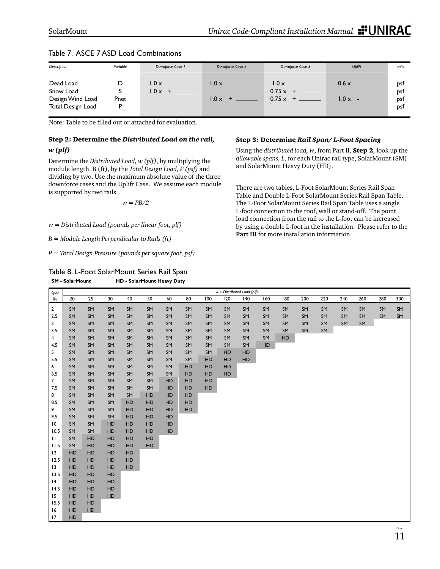| Description                                                     | Variable  | Downforce Case I               | Downforce Case 2             | Downforce Case 3                                   | <b>Uplift</b>                | units                    |
|-----------------------------------------------------------------|-----------|--------------------------------|------------------------------|----------------------------------------------------|------------------------------|--------------------------|
| Dead Load<br>Snow Load<br>Design Wind Load<br>Total Design Load | Pnet<br>D | $1.0 \times$<br>$1.0 \times +$ | $1.0 \times$<br>$1.0 \times$ | $1.0 \times$<br>$0.75 \times +$<br>$0.75 \times +$ | $0.6 \times$<br>$1.0 \times$ | DSf<br>DSÍ<br>DSt<br>psf |

### Table 7. ASCE 7 ASD Load Combinations

Note: Table to be filled out or attached for evaluation.

### Step 2: Determine the *Distributed Load on the rail, w (plf)*

Determine the *Distributed Load, w (plf)*, by multiplying the module length, B (ft), by the *Total Design Load, P (psf)* and dividing by two. Use the maximum absolute value of the three downforce cases and the Uplift Case. We assume each module is supported by two rails.

*w = PB/2*

*w = Distributed Load (pounds per linear foot, plf)*

*B = Module Length Perpendicular to Rails (ft)*

*P = Total Design Pressure (pounds per square foot, psf)*

Table 8. L-Foot SolarMount Series Rail Span **SM - SolarMount HD - SolarMount Heavy Duty** 

#### Step 3: Determine *Rail Span/ L-Foot Spacing*

Using the *distributed load, w*, from Part II, Step 2, look up the *allowable spans, L*, for each Unirac rail type, SolarMount (SM) and SolarMount Heavy Duty (HD).

There are two tables, L-Foot SolarMount Series Rail Span Table and Double L-Foot SolarMount Series Rail Span Table. The L-Foot SolarMount Series Rail Span Table uses a single L-foot connection to the roof, wall or stand-off. The point load connection from the rail to the L-foot can be increased by using a double L-foot in the installation. Please refer to the **Part III** for more installation information.

| Span            |           |          |          |    |           |    |    |           |           | $w =$ Distributed Load (plf) |     |     |     |     |     |     |     |     |
|-----------------|-----------|----------|----------|----|-----------|----|----|-----------|-----------|------------------------------|-----|-----|-----|-----|-----|-----|-----|-----|
| (ft)            | 20        | 25       | 30       | 40 | 50        | 60 | 80 | 100       | 120       | 40                           | 160 | 180 | 200 | 220 | 240 | 260 | 280 | 300 |
| $\mathbf 2$     | SM        | SM       | SM       | SM | SM        | SM | SM | SM        | SM        | SM                           | SM  | SM  | SM  | SM  | SM  | SM  | SM  | SM  |
| 2.5             | SM        | SM       | SM       | SM | SM        | SM | SM | SM        | SM        | SM                           | SM  | SM  | SM  | SM  | SM  | SM  | SM  | SM  |
| 3               | SM        | SM       | SM       | SM | SM        | SM | SM | SM        | SM        | SM                           | SM  | SM  | SM  | SM  | SM  | SM  |     |     |
| 3.5             | SM        | SM       | SM       | SM | SM        | SM | SM | SM        | SM        | SM                           | SM  | SM  | SM  | SM  |     |     |     |     |
| 4               | SM        | SM       | SM       | SM | SM        | SM | SM | SM        | SM        | SM                           | SM  | HD  |     |     |     |     |     |     |
| 4.5             | SM        | SM       | SM       | SM | SM        | SM | SM | SM        | SM        | SM                           | HD  |     |     |     |     |     |     |     |
| 5               | SM        | SM       | SM       | SM | SM        | SM | SM | SM        | <b>HD</b> | HD                           |     |     |     |     |     |     |     |     |
| 5.5             | SM        | SM       | SM       | SM | SM        | SM | SM | HD        | HD        | <b>HD</b>                    |     |     |     |     |     |     |     |     |
| 6               | SM        | SM       | SM       | SM | SM        | SM | HD | HD        | HD        |                              |     |     |     |     |     |     |     |     |
| 6.5             | SM        | SM       | SM       | SM | SM        | SM | HD | HD        | HD        |                              |     |     |     |     |     |     |     |     |
| $\overline{7}$  | SM        | SM       | SM       | SM | SM        | HD | HD | HD        |           |                              |     |     |     |     |     |     |     |     |
| 7.5             | SM        | SM       | SM       | SM | SM        | HD | HD | <b>HD</b> |           |                              |     |     |     |     |     |     |     |     |
| 8               | SM        | SM       | SM       | SM | HD        | HD | HD |           |           |                              |     |     |     |     |     |     |     |     |
| 8.5             | SM        | SM       | SM       | HD | HD        | HD | HD |           |           |                              |     |     |     |     |     |     |     |     |
| 9               | SM        | SM       | SM       | HD | HD        | HD | HD |           |           |                              |     |     |     |     |     |     |     |     |
| 9.5             | SM        | SM       | SM       | HD | HD        | HD |    |           |           |                              |     |     |     |     |     |     |     |     |
| $\overline{10}$ | SM        | SM       | HD       | HD | HD        | HD |    |           |           |                              |     |     |     |     |     |     |     |     |
| 10.5            | SM        | SM       | HD       | HD | HD        | HD |    |           |           |                              |     |     |     |     |     |     |     |     |
| $\mathbf{H}$    | SM        | HD       | HD       | HD | HD        |    |    |           |           |                              |     |     |     |     |     |     |     |     |
| 11.5            | SM        | HD       | HD       | HD | <b>HD</b> |    |    |           |           |                              |     |     |     |     |     |     |     |     |
| 12              | HD        | HD       | HD       | HD |           |    |    |           |           |                              |     |     |     |     |     |     |     |     |
| 12.5            | HD        | HD       | HD       | HD |           |    |    |           |           |                              |     |     |     |     |     |     |     |     |
| 13              | HD        | HD       | HD<br>HD | HD |           |    |    |           |           |                              |     |     |     |     |     |     |     |     |
| 13.5<br> 4      | HD<br>HD  | HD<br>HD | HD       |    |           |    |    |           |           |                              |     |     |     |     |     |     |     |     |
| 14.5            | HD        | HD       | HD       |    |           |    |    |           |           |                              |     |     |     |     |     |     |     |     |
| 15              | HD        | HD       | HD       |    |           |    |    |           |           |                              |     |     |     |     |     |     |     |     |
| 15.5            | HD        | HD       |          |    |           |    |    |           |           |                              |     |     |     |     |     |     |     |     |
| 16              | <b>HD</b> | HD       |          |    |           |    |    |           |           |                              |     |     |     |     |     |     |     |     |
| 17              | HD        |          |          |    |           |    |    |           |           |                              |     |     |     |     |     |     |     |     |
|                 |           |          |          |    |           |    |    |           |           |                              |     |     |     |     |     |     |     |     |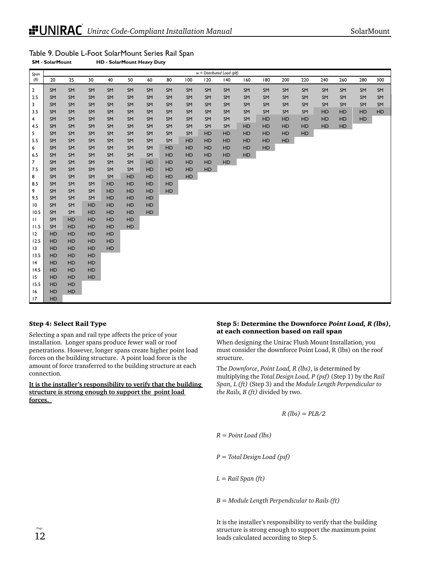| SolarMount |  |
|------------|--|
|            |  |

| Span              |          |           |          |           |    |     |           |     |     | $w =$ Distributed Load (plf) |           |     |     |     |     |     |     |     |
|-------------------|----------|-----------|----------|-----------|----|-----|-----------|-----|-----|------------------------------|-----------|-----|-----|-----|-----|-----|-----|-----|
| (f <sup>t</sup> ) | 20       | 25        | 30       | 40        | 50 | 60  | 80        | 100 | 120 | 140                          | 160       | 180 | 200 | 220 | 240 | 260 | 280 | 300 |
| $\overline{2}$    | SM       | SM        | SM       | SM        | SM | SM  | SM        | SM  | SM  | SM                           | SM        | SM  | SM  | SM  | SM  | SM  | SM  | SM  |
| 2.5               | SM       | SM        | SM       | SM        | SM | SM  | SM        | SM  | SM  | SM                           | SM        | SM  | SM  | SM  | SM  | SM  | SM  | SM  |
| 3                 | SM       | SM        | SM       | SM        | SM | SM  | SM        | SM  | SM  | SM                           | SM        | SM  | SM  | SM  | SM  | SM  | SM  | SM  |
| 3.5               | SM       | SM        | SM       | SM        | SM | SM  | SM        | SM  | SM  | SM                           | SM        | SM  | SM  | SM  | HD  | HD  | HD  | HD  |
| 4                 | SM       | SM        | SM       | SM        | SM | SM  | SM        | SM  | SM  | SM                           | SM        | HD  | HD  | HD  | HD  | HD  | HD  |     |
| 4.5               | SM       | SM        | SM       | SM        | SM | SM  | SM        | SM  | SM  | SM                           | HD        | HD  | HD  | HD  | HD  | HD  |     |     |
| 5                 | SM       | SM        | SM       | SM        | SM | SM  | SM        | SM  | HD  | HD                           | HD        | HD  | HD  | HD  |     |     |     |     |
| 5.5               | SM       | SM        | SM       | SM        | SM | SM  | SM        | HD  | HD  | HD                           | HD        | HD  | HD  |     |     |     |     |     |
| 6                 | SM       | SM        | SM       | SM        | SM | SM  | HD        | HD  | HD  | HD                           | HD        | HD  |     |     |     |     |     |     |
| 6.5               | SM       | SM        | SM       | SM        | SM | SM  | HD        | HD  | HD  | HD                           | <b>HD</b> |     |     |     |     |     |     |     |
| $\overline{7}$    | SM       | SM        | SM       | SM        | SM | HD  | HD        | HD  | HD  | HD                           |           |     |     |     |     |     |     |     |
| 7.5               | SM       | SM        | SM       | SM        | SM | HD  | HD        | HD  | HD  |                              |           |     |     |     |     |     |     |     |
| 8                 | SM       | SM        | SM       | SM        | HD | HD  | HD        | HD  |     |                              |           |     |     |     |     |     |     |     |
| 8.5               | SM       | SM        | SM       | HD        | HD | HD  | HD        |     |     |                              |           |     |     |     |     |     |     |     |
| 9                 | SM       | SM        | SM       | HD        | HD | HD  | <b>HD</b> |     |     |                              |           |     |     |     |     |     |     |     |
| 9.5               | SM       | SM        | SM       | HD        | HD | HD  |           |     |     |                              |           |     |     |     |     |     |     |     |
| 10                | SM       | SM        | HD       | HD        | HD | HD  |           |     |     |                              |           |     |     |     |     |     |     |     |
| 10.5              | SM       | SM        | HD       | HD        | HD | HD. |           |     |     |                              |           |     |     |     |     |     |     |     |
| $\mathbf{H}$      | SM       | HD        | HD       | <b>HD</b> | HD |     |           |     |     |                              |           |     |     |     |     |     |     |     |
| 11.5              | SM       | HD        | HD       | HD        | HD |     |           |     |     |                              |           |     |     |     |     |     |     |     |
| 12                | HD       | HD        | HD       | <b>HD</b> |    |     |           |     |     |                              |           |     |     |     |     |     |     |     |
| 12.5              | HD       | HD        | HD       | <b>HD</b> |    |     |           |     |     |                              |           |     |     |     |     |     |     |     |
| 13                | HD       | HD        | HD       | <b>HD</b> |    |     |           |     |     |                              |           |     |     |     |     |     |     |     |
| 13.5              | HD       | HD        | HD       |           |    |     |           |     |     |                              |           |     |     |     |     |     |     |     |
| 4<br>14.5         | HD       | HD        | HD       |           |    |     |           |     |     |                              |           |     |     |     |     |     |     |     |
| 15                | HD<br>HD | HD<br>HD  | HD<br>HD |           |    |     |           |     |     |                              |           |     |     |     |     |     |     |     |
| 15.5              | HD       | HD        |          |           |    |     |           |     |     |                              |           |     |     |     |     |     |     |     |
| 16                | HD       | <b>HD</b> |          |           |    |     |           |     |     |                              |           |     |     |     |     |     |     |     |
| 17                | HD       |           |          |           |    |     |           |     |     |                              |           |     |     |     |     |     |     |     |
|                   |          |           |          |           |    |     |           |     |     |                              |           |     |     |     |     |     |     |     |

### Table 9. Double L-Foot SolarMount Series Rail Span

**SM - SolarMount HD - SolarMount Heavy Duty** 

#### Step 4: Select Rail Type

Selecting a span and rail type affects the price of your installation. Longer spans produce fewer wall or roof penetrations. However, longer spans create higher point load forces on the building structure. A point load force is the amount of force transferred to the building structure at each connection.

#### **It is the installer's responsibility to verify that the building structure is strong enough to support the point load forces.**

#### Step 5: Determine the Downforce *Point Load, R (lbs)*, at each connection based on rail span

When designing the Unirac Flush Mount Installation, you must consider the downforce Point Load, R (lbs) on the roof structure.

The *Downforce*, *Point Load, R (lbs)*, is determined by multiplying the *Total Design Load, P (psf)* (Step 1) by the *Rail Span, L (ft)* (Step 3) and the *Module Length Perpendicular to the Rails, B (ft)* divided by two.

$$
R\,l\,b s) = P L B / 2
$$

*R = Point Load (lbs)*

*P = Total Design Load (psf)*

*L = Rail Span (ft)*

*B = Module Length Perpendicular to Rails (ft)*

It is the installer's responsibility to verify that the building structure is strong enough to support the maximum point loads calculated according to Step 5.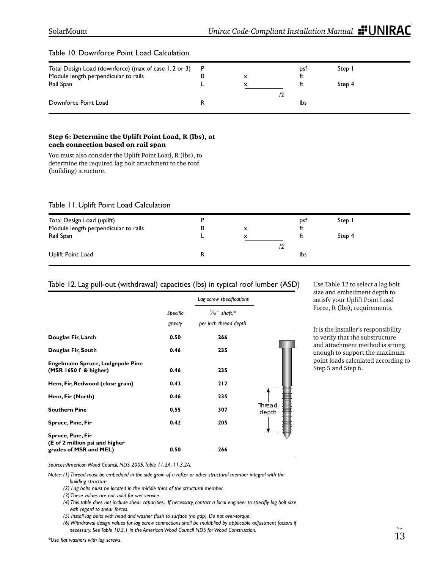| Total Design Load (downforce) (max of case 1, 2 or 3) | - P |   | pst | Step 1 |
|-------------------------------------------------------|-----|---|-----|--------|
| Module length perpendicular to rails                  |     |   | tt  |        |
| Rail Span                                             |     | x |     | Step 4 |
|                                                       |     |   |     |        |
|                                                       |     |   |     |        |
|                                                       |     |   |     |        |
| Downforce Point Load                                  |     |   | lbs |        |

#### Table 10. Downforce Point Load Calculation

#### Step 6: Determine the Uplift Point Load, R (lbs), at each connection based on rail span

You must also consider the Uplift Point Load, R (lbs), to determine the required lag bolt attachment to the roof (building) structure.

#### Table 11. Uplift Point Load Calculation

| Total Design Load (uplift)           |   |   | pst | Step 1 |
|--------------------------------------|---|---|-----|--------|
| Module length perpendicular to rails | в | x | tt  |        |
| Rail Span                            |   | x |     | Step 4 |
|                                      |   | z |     |        |
| Uplift Point Load                    |   |   | lbs |        |
|                                      |   |   |     |        |

#### Table 12. Lag pull-out (withdrawal) capacities (lbs) in typical roof lumber (ASD)

|                                                                  |                     | Lag screw specifications                          |                        |
|------------------------------------------------------------------|---------------------|---------------------------------------------------|------------------------|
|                                                                  | Specific<br>gravity | $\frac{5}{16}$ " shaft,*<br>per inch thread depth |                        |
| Douglas Fir, Larch                                               | 0.50                | 266                                               |                        |
| Douglas Fir, South                                               | 0.46                | 235                                               |                        |
| <b>Engelmann Spruce, Lodgepole Pine</b><br>(MSR 1650 f & higher) | 0.46                | 235                                               |                        |
| Hem, Fir, Redwood (close grain)                                  | 0.43                | 212                                               |                        |
| Hem, Fir (North)                                                 | 0.46                | 235                                               |                        |
| <b>Southern Pine</b>                                             | 0.55                | 307                                               | <b>Thread</b><br>depth |
| <b>Spruce, Pine, Fir</b>                                         | 0.42                | 205                                               |                        |
| <b>Spruce, Pine, Fir</b><br>(E of 2 million psi and higher       |                     |                                                   |                        |
| grades of MSR and MEL)                                           | 0.50                | 266                                               |                        |

Use Table 12 to select a lag bolt size and embedment depth to satisfy your Uplift Point Load Force, R (lbs), requirements.

It is the installer's responsibility to verify that the substructure and attachment method is strong enough to support the maximum point loads calculated according to Step 5 and Step 6.

*Sources: American Wood Council, NDS 2005, Table 11.2A, 11.3.2A.*

*Notes: (1) Thread must be embedded in the side grain of a rafter or other structural member integral with the building structure.* 

- *(4) This table does not include shear capacities. If necessary, contact a local engineer to specifiy lag bolt size with regard to shear forces.*
- *(5) Install lag bolts with head and washer fl ush to surface (no gap). Do not over-torque.*

 *(6) Withdrawal design values for lag screw connections shall be multiplied by applicable adjustment factors if necessary. See Table 10.3.1 in the American Wood Council NDS for Wood Construction.*

 *<sup>(2)</sup> Lag bolts must be located in the middle third of the structural member.*

 *<sup>(3)</sup> These values are not valid for wet service.*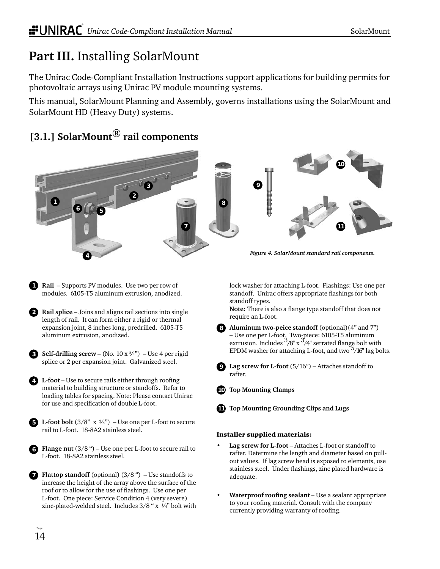## **Part III.** Installing SolarMount

The Unirac Code-Compliant Installation Instructions support applications for building permits for photovoltaic arrays using Unirac PV module mounting systems.

This manual, SolarMount Planning and Assembly, governs installations using the SolarMount and SolarMount HD (Heavy Duty) systems.

## **[3.1.] SolarMount® rail components**





*Figure 4. SolarMount standard rail components.*

lock washer for attaching L-foot. Flashings: Use one per standoff. Unirac offers appropriate flashings for both standoff types.

Note: There is also a flange type standoff that does not require an L-foot.

**Aluminum two-peice standoff** (optional)(4" and 7") **8** – Use one per L-foot. Two-piece: 6105-T5 aluminum extrusion. Includes  $\frac{3}{8}$  x  $\frac{3}{4}$  serrated flange bolt with EPDM washer for attaching L-foot, and two  $\frac{5}{16}$ " lag bolts.



**Lag screw for L-foot** (5/16") – Attaches standoff to rafter.

**Top Mounting Clamps 10**

**9**



### Installer supplied materials:

- **Lag screw for L-foot** Attaches L-foot or standoff to rafter. Determine the length and diameter based on pullout values. If lag screw head is exposed to elements, use stainless steel. Under flashings, zinc plated hardware is adequate.
- **Waterproof roofing sealant** Use a sealant appropriate to your roofing material. Consult with the company currently providing warranty of roofing.
- **Rail** Supports PV modules. Use two per row of modules. 6105-T5 aluminum extrusion, anodized.
- **Rail splice** Joins and aligns rail sections into single **2** length of rail. It can form either a rigid or thermal expansion joint, 8 inches long, predrilled. 6105-T5 aluminum extrusion, anodized.
- **S** Self-drilling screw (No.  $10 \times 3/4$ ") Use 4 per rigid splice or 2 per expansion joint. Galvanized steel.
- **4** L-foot Use to secure rails either through roofing material to building structure or standoffs. Refer to loading tables for spacing. Note: Please contact Unirac for use and specification of double L-foot.

**L-foot bolt**  $(3/8$ "  $x \frac{3}{4}$ " $)$  – Use one per L-foot to secure rail to L-foot. 18-8A2 stainless steel.

**Flange nut** (3/8 ") – Use one per L-foot to secure rail to L-foot. 18-8A2 stainless steel.

**Flattop standoff** (optional) (3/8 ") – Use standoffs to increase the height of the array above the surface of the roof or to allow for the use of flashings. Use one per L-foot. One piece: Service Condition 4 (very severe) zinc-plated-welded steel. Includes 3/8 " x ¼" bolt with

**6**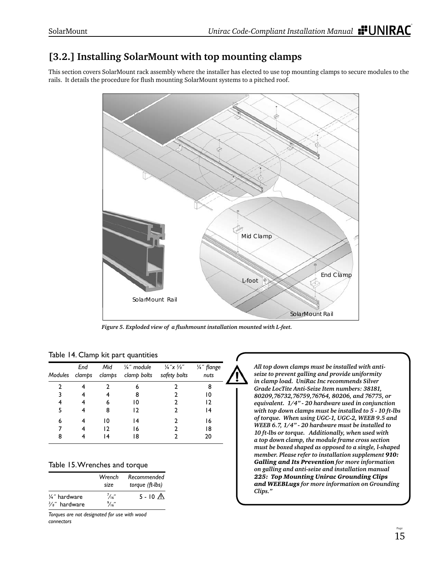### **[3.2.] Installing SolarMount with top mounting clamps**

This section covers SolarMount rack assembly where the installer has elected to use top mounting clamps to secure modules to the rails. It details the procedure for flush mounting SolarMount systems to a pitched roof.



*Figure 5. Exploded view of a fl ushmount installation mounted with L-feet.*

|   | End | Mid | 1/ <sub>4</sub> " module<br>Modules clamps clamps clamp bolts safety bolts | $\frac{1}{4}x^{5/8}$ | 1/4" flange<br>nuts |
|---|-----|-----|----------------------------------------------------------------------------|----------------------|---------------------|
|   |     |     | 6                                                                          |                      | 8                   |
|   |     |     | 8                                                                          |                      | 10                  |
|   |     | 6   | 10                                                                         |                      | 12                  |
| 5 |     | 8   | 12                                                                         |                      | ۱4                  |
| 6 |     | 10  | 4                                                                          |                      | 16                  |
|   |     | 12  | 16                                                                         |                      | 18                  |
| 8 |     |     | 18                                                                         |                      | 20                  |

|  |  |  |  |  | Table 14. Clamp kit part quantities |
|--|--|--|--|--|-------------------------------------|
|--|--|--|--|--|-------------------------------------|

|  |  | Table 15. Wrenches and torque |  |  |
|--|--|-------------------------------|--|--|
|--|--|-------------------------------|--|--|

|                                           | Wrench<br>size                   | Recommended<br>torque (ft-lbs) |
|-------------------------------------------|----------------------------------|--------------------------------|
| 1/4" hardware<br>$\frac{3}{8}$ " hardware | $\frac{7}{16}$<br>$\frac{9}{16}$ | $5 - 10 \Delta$                |

*Torques are not designated for use with wood connectors*

*All top down clamps must be installed with antiseize to prevent galling and provide uniformity in clamp load. UniRac Inc recommends Silver Grade LocTite Anti-Seize Item numbers: 38181, 80209,76732,76759,76764, 80206, and 76775, or equivalent. 1/4" - 20 hardware used in conjunction with top down clamps must be installed to 5 - 10 ft-lbs of torque. When using UGC-1, UGC-2, WEEB 9.5 and WEEB 6.7, 1/4" - 20 hardware must be installed to 10 ft-lbs or torque. Additionally, when used with a top down clamp, the module frame cross section must be boxed shaped as opposed to a single, l-shaped member. Please refer to installation supplement 910: Galling and Its Prevention for more information on galling and anti-seize and installation manual 225: Top Mounting Unirac Grounding Clips and WEEBLugs for more information on Grounding Clips."*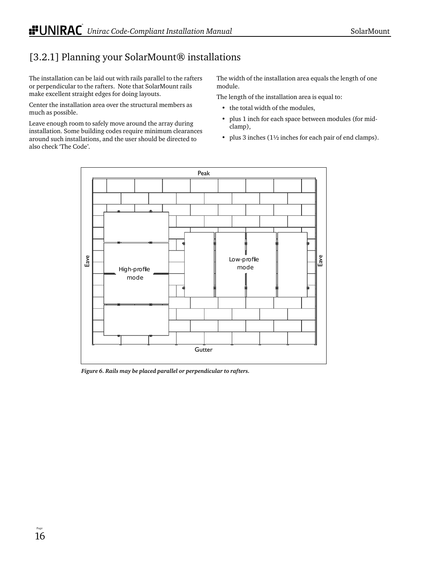## [3.2.1] Planning your SolarMount® installations

The installation can be laid out with rails parallel to the rafters or perpendicular to the rafters. Note that SolarMount rails make excellent straight edges for doing layouts.

Center the installation area over the structural members as much as possible.

Leave enough room to safely move around the array during installation. Some building codes require minimum clearances around such installations, and the user should be directed to also check 'The Code'.

The width of the installation area equals the length of one module.

The length of the installation area is equal to:

- the total width of the modules,
- plus 1 inch for each space between modules (for midclamp),
- plus 3 inches (1½ inches for each pair of end clamps).



*Figure 6. Rails may be placed parallel or perpendicular to rafters.*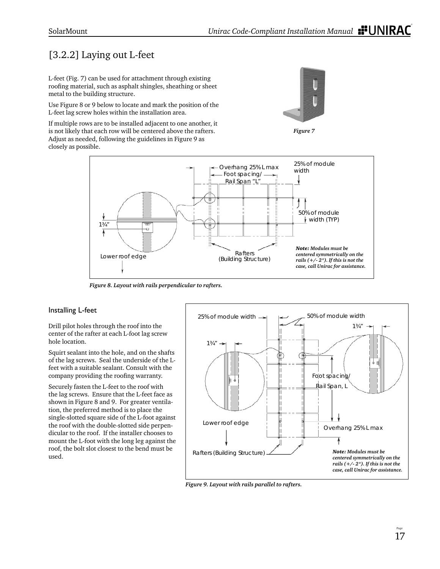## [3.2.2] Laying out L-feet

L-feet (Fig. 7) can be used for attachment through existing roofing material, such as asphalt shingles, sheathing or sheet metal to the building structure.

Use Figure 8 or 9 below to locate and mark the position of the L-feet lag screw holes within the installation area.

If multiple rows are to be installed adjacent to one another, it is not likely that each row will be centered above the rafters. Adjust as needed, following the guidelines in Figure 9 as closely as possible.







*Figure 8. Layout with rails perpendicular to rafters.*

### Installing L-feet

Drill pilot holes through the roof into the center of the rafter at each L-foot lag screw hole location.

Squirt sealant into the hole, and on the shafts of the lag screws. Seal the underside of the Lfeet with a suitable sealant. Consult with the company providing the roofing warranty.

Securely fasten the L-feet to the roof with the lag screws. Ensure that the L-feet face as shown in Figure 8 and 9. For greater ventilation, the preferred method is to place the single-slotted square side of the L-foot against the roof with the double-slotted side perpendicular to the roof. If the installer chooses to mount the L-foot with the long leg against the roof, the bolt slot closest to the bend must be used.



*Figure 9. Layout with rails parallel to rafters.*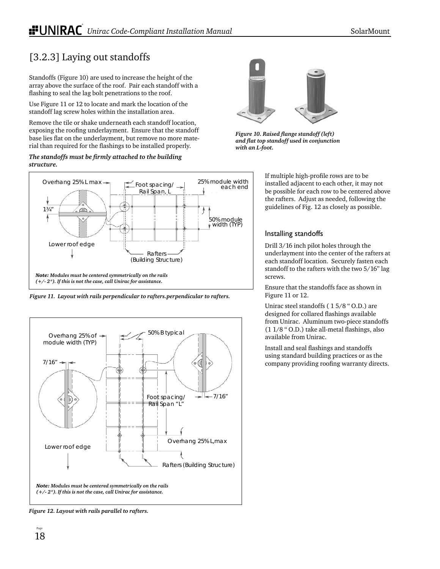## [3.2.3] Laying out standoffs

Standoffs (Figure 10) are used to increase the height of the array above the surface of the roof. Pair each standoff with a flashing to seal the lag bolt penetrations to the roof.

Use Figure 11 or 12 to locate and mark the location of the standoff lag screw holes within the installation area.

Remove the tile or shake underneath each standoff location, exposing the roofing underlayment. Ensure that the standoff base lies flat on the underlayment, but remove no more material than required for the flashings to be installed properly.

#### The standoffs must be firmly attached to the building *structure.*



*Figure 11. Layout with rails perpendicular to rafters.perpendicular to rafters.*



*Figure 12. Layout with rails parallel to rafters.*



**Figure 10. Raised flange standoff (left)** *and fl at top standoff used in conjunction with an L-foot.*

If multiple high-profile rows are to be installed adjacent to each other, it may not be possible for each row to be centered above the rafters. Adjust as needed, following the guidelines of Fig. 12 as closely as possible.

### Installing standoffs

Drill 3/16 inch pilot holes through the underlayment into the center of the rafters at each standoff location. Securely fasten each standoff to the rafters with the two 5/16" lag screws.

Ensure that the standoffs face as shown in Figure 11 or 12.

Unirac steel standoffs ( 1 5/8 " O.D.) are designed for collared flashings available from Unirac. Aluminum two-piece standoffs  $(11/8$  " O.D.) take all-metal flashings, also available from Unirac.

Install and seal flashings and standoffs using standard building practices or as the company providing roofing warranty directs.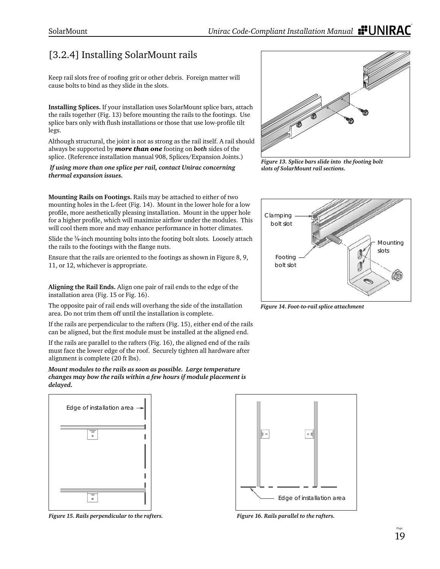## [3.2.4] Installing SolarMount rails

Keep rail slots free of roofing grit or other debris. Foreign matter will cause bolts to bind as they slide in the slots.

**Installing Splices.** If your installation uses SolarMount splice bars, attach the rails together (Fig. 13) before mounting the rails to the footings. Use splice bars only with flush installations or those that use low-profile tilt legs.

Although structural, the joint is not as strong as the rail itself. A rail should always be supported by *more than one* footing on *both* sides of the splice. (Reference installation manual 908, Splices/Expansion Joints.)

*If using more than one splice per rail, contact Unirac concerning thermal expansion issues.* 

**Mounting Rails on Footings.** Rails may be attached to either of two mounting holes in the L-feet (Fig. 14). Mount in the lower hole for a low profile, more aesthetically pleasing installation. Mount in the upper hole for a higher profile, which will maximize airflow under the modules. This will cool them more and may enhance performance in hotter climates.

Slide the <sup>3</sup>/<sub>8</sub>-inch mounting bolts into the footing bolt slots. Loosely attach the rails to the footings with the flange nuts.

Ensure that the rails are oriented to the footings as shown in Figure 8, 9, 11, or 12, whichever is appropriate.

**Aligning the Rail Ends.** Align one pair of rail ends to the edge of the installation area (Fig. 15 or Fig. 16).

The opposite pair of rail ends will overhang the side of the installation area. Do not trim them off until the installation is complete.

If the rails are perpendicular to the rafters (Fig. 15), either end of the rails can be aligned, but the first module must be installed at the aligned end.

If the rails are parallel to the rafters (Fig. 16), the aligned end of the rails must face the lower edge of the roof. Securely tighten all hardware after alignment is complete (20 ft lbs).

*Mount modules to the rails as soon as possible. Large temperature changes may bow the rails within a few hours if module placement is delayed.*



*Figure 15. Rails perpendicular to the rafters.*



*Figure 13. Splice bars slide into the footing bolt slots of SolarMount rail sections.*



*Figure 14. Foot-to-rail splice attachment*



*Figure 16. Rails parallel to the rafters.*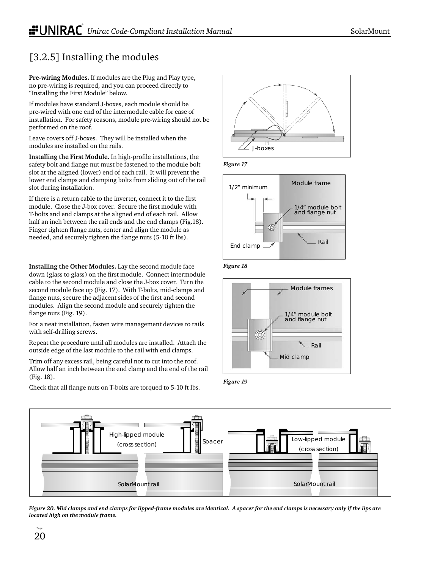## [3.2.5] Installing the modules

**Pre-wiring Modules.** If modules are the Plug and Play type, no pre-wiring is required, and you can proceed directly to "Installing the First Module" below.

If modules have standard J-boxes, each module should be pre-wired with one end of the intermodule cable for ease of installation. For safety reasons, module pre-wiring should not be performed on the roof.

Leave covers off J-boxes. They will be installed when the modules are installed on the rails.

**Installing the First Module.** In high-profile installations, the safety bolt and flange nut must be fastened to the module bolt slot at the aligned (lower) end of each rail. It will prevent the lower end clamps and clamping bolts from sliding out of the rail slot during installation.

If there is a return cable to the inverter, connect it to the first module. Close the J-box cover. Secure the first module with T-bolts and end clamps at the aligned end of each rail. Allow half an inch between the rail ends and the end clamps (Fig.18). Finger tighten flange nuts, center and align the module as needed, and securely tighten the flange nuts (5-10 ft lbs).

**Installing the Other Modules.** Lay the second module face down (glass to glass) on the first module. Connect intermodule cable to the second module and close the J-box cover. Turn the second module face up (Fig. 17). With T-bolts, mid-clamps and flange nuts, secure the adjacent sides of the first and second modules. Align the second module and securely tighten the flange nuts (Fig. 19).

For a neat installation, fasten wire management devices to rails with self-drilling screws.

Repeat the procedure until all modules are installed. Attach the outside edge of the last module to the rail with end clamps.

Trim off any excess rail, being careful not to cut into the roof. Allow half an inch between the end clamp and the end of the rail (Fig. 18).

Check that all flange nuts on T-bolts are torqued to 5-10 ft lbs.



*Figure 17*







*Figure 19*



*Figure 20. Mid clamps and end clamps for lipped-frame modules are identical. A spacer for the end clamps is necessary only if the lips are located high on the module frame.*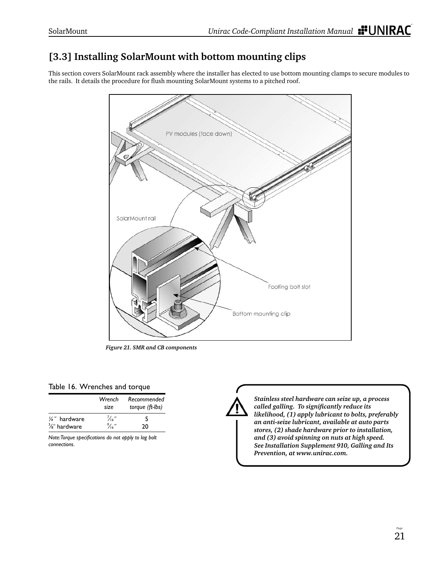## **[3.3] Installing SolarMount with bottom mounting clips**

This section covers SolarMount rack assembly where the installer has elected to use bottom mounting clamps to secure modules to the rails. It details the procedure for flush mounting SolarMount systems to a pitched roof.



*Figure 21. SMR and CB components*

### Table 16. Wrenches and torque

|                          | Wrench<br>size   | Recommended<br>torque (ft-lbs) |
|--------------------------|------------------|--------------------------------|
| 1/4" hardware            | "،"              | 5                              |
| $\frac{3}{8}$ " hardware | $\frac{9}{16}$ " | 20                             |

*Note: Torque specifi cations do not apply to lag bolt connections.*



*Stainless steel hardware can seize up, a process called galling. To signifi cantly reduce its likelihood, (1) apply lubricant to bolts, preferably an anti-seize lubricant, available at auto parts stores, (2) shade hardware prior to installation, and (3) avoid spinning on nuts at high speed. See Installation Supplement 910, Galling and Its Prevention, at www.unirac.com.*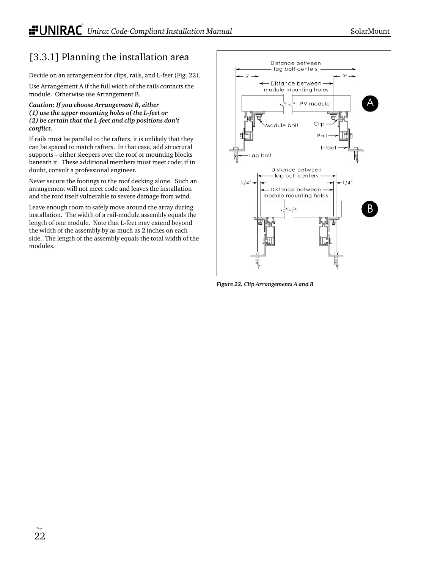### [3.3.1] Planning the installation area

Decide on an arrangement for clips, rails, and L-feet (Fig. 22).

Use Arrangement A if the full width of the rails contacts the module. Otherwise use Arrangement B.

#### *Caution: If you choose Arrangement B, either (1) use the upper mounting holes of the L-feet or (2) be certain that the L-feet and clip positions don't confl ict.*

If rails must be parallel to the rafters, it is unlikely that they can be spaced to match rafters. In that case, add structural supports – either sleepers over the roof or mounting blocks beneath it. These additional members must meet code; if in doubt, consult a professional engineer.

Never secure the footings to the roof decking alone. Such an arrangement will not meet code and leaves the installation and the roof itself vulnerable to severe damage from wind.

Leave enough room to safely move around the array during installation. The width of a rail-module assembly equals the length of one module. Note that L-feet may extend beyond the width of the assembly by as much as 2 inches on each side. The length of the assembly equals the total width of the modules.



*Figure 22. Clip Arrangements A and B*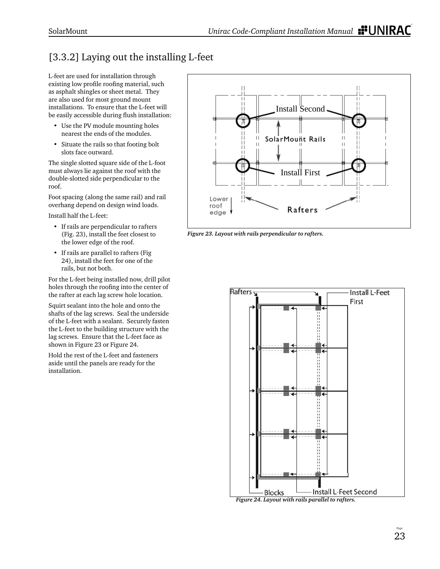## [3.3.2] Laying out the installing L-feet

L-feet are used for installation through existing low profile roofing material, such as asphalt shingles or sheet metal. They are also used for most ground mount installations. To ensure that the L-feet will be easily accessible during flush installation:

- Use the PV module mounting holes nearest the ends of the modules.
- Situate the rails so that footing bolt slots face outward.

The single slotted square side of the L-foot must always lie against the roof with the double-slotted side perpendicular to the roof.

Foot spacing (along the same rail) and rail overhang depend on design wind loads.

Install half the L-feet:

- If rails are perpendicular to rafters (Fig. 23), install the feet closest to the lower edge of the roof.
- If rails are parallel to rafters (Fig 24), install the feet for one of the rails, but not both.

For the L-feet being installed now, drill pilot holes through the roofing into the center of the rafter at each lag screw hole location.

Squirt sealant into the hole and onto the shafts of the lag screws. Seal the underside of the L-feet with a sealant. Securely fasten the L-feet to the building structure with the lag screws. Ensure that the L-feet face as shown in Figure 23 or Figure 24.

Hold the rest of the L-feet and fasteners aside until the panels are ready for the installation.



*Figure 23. Layout with rails perpendicular to rafters.*



*Figure 24. Layout with rails parallel to rafters.*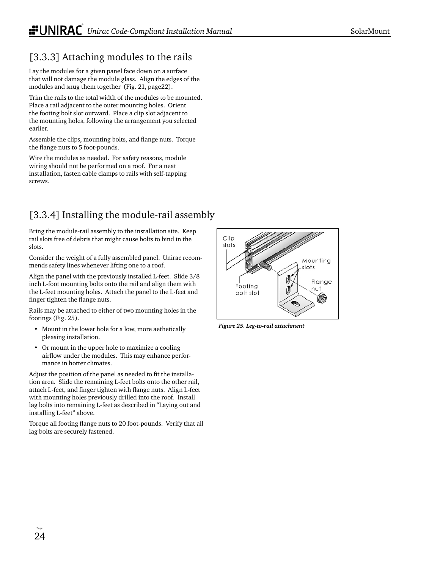## [3.3.3] Attaching modules to the rails

Lay the modules for a given panel face down on a surface that will not damage the module glass. Align the edges of the modules and snug them together (Fig. 21, page22).

Trim the rails to the total width of the modules to be mounted. Place a rail adjacent to the outer mounting holes. Orient the footing bolt slot outward. Place a clip slot adjacent to the mounting holes, following the arrangement you selected earlier.

Assemble the clips, mounting bolts, and flange nuts. Torque the flange nuts to 5 foot-pounds.

Wire the modules as needed. For safety reasons, module wiring should not be performed on a roof. For a neat installation, fasten cable clamps to rails with self-tapping screws.

## [3.3.4] Installing the module-rail assembly

Bring the module-rail assembly to the installation site. Keep rail slots free of debris that might cause bolts to bind in the slots.

Consider the weight of a fully assembled panel. Unirac recommends safety lines whenever lifting one to a roof.

Align the panel with the previously installed L-feet. Slide 3/8 inch L-foot mounting bolts onto the rail and align them with the L-feet mounting holes. Attach the panel to the L-feet and finger tighten the flange nuts.

Rails may be attached to either of two mounting holes in the footings (Fig. 25).

- Mount in the lower hole for a low, more aethetically pleasing installation.
- Or mount in the upper hole to maximize a cooling airflow under the modules. This may enhance performance in hotter climates.

Adjust the position of the panel as needed to fit the installation area. Slide the remaining L-feet bolts onto the other rail, attach L-feet, and finger tighten with flange nuts. Align L-feet with mounting holes previously drilled into the roof. Install lag bolts into remaining L-feet as described in "Laying out and installing L-feet" above.

Torque all footing flange nuts to 20 foot-pounds. Verify that all lag bolts are securely fastened.



*Figure 25. Leg-to-rail at tach ment*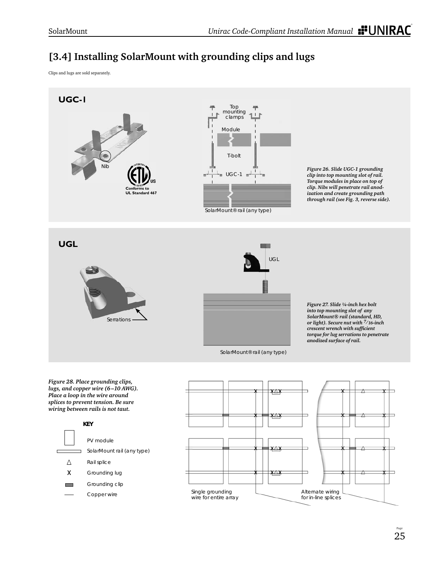## **[3.4] Installing SolarMount with grounding clips and lugs**

Clips and lugs are sold separately.



*Figure 28. Place grounding clips, lugs, and copper wire (6 –10 AWG). Place a loop in the wire around splices to prevent tension. Be sure wiring between rails is not taut.*